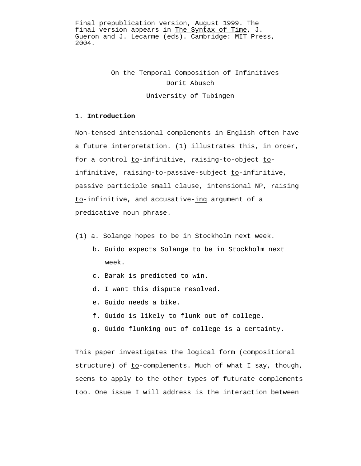Final prepublication version, August 1999. The final version appears in The Syntax of Time, J. Gueron and J. Lecarme (eds). Cambridge: MIT Press, 2004.

> On the Temporal Composition of Infinitives Dorit Abusch University of Tübingen

## 1. **Introduction**

Non-tensed intensional complements in English often have a future interpretation. (1) illustrates this, in order, for a control to-infinitive, raising-to-object toinfinitive, raising-to-passive-subject to-infinitive, passive participle small clause, intensional NP, raising to-infinitive, and accusative-ing argument of a predicative noun phrase.

- (1) a. Solange hopes to be in Stockholm next week.
	- b. Guido expects Solange to be in Stockholm next week.
	- c. Barak is predicted to win.
	- d. I want this dispute resolved.
	- e. Guido needs a bike.
	- f. Guido is likely to flunk out of college.
	- g. Guido flunking out of college is a certainty.

This paper investigates the logical form (compositional structure) of to-complements. Much of what I say, though, seems to apply to the other types of futurate complements too. One issue I will address is the interaction between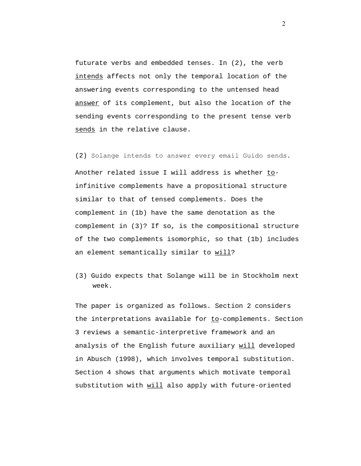futurate verbs and embedded tenses. In (2), the verb intends affects not only the temporal location of the answering events corresponding to the untensed head answer of its complement, but also the location of the sending events corresponding to the present tense verb sends in the relative clause.

(2) Solange intends to answer every email Guido sends. Another related issue I will address is whether toinfinitive complements have a propositional structure similar to that of tensed complements. Does the complement in (1b) have the same denotation as the complement in (3)? If so, is the compositional structure of the two complements isomorphic, so that (1b) includes an element semantically similar to will?

(3) Guido expects that Solange will be in Stockholm next week.

The paper is organized as follows. Section 2 considers the interpretations available for  $to-complements. Section$ </u> 3 reviews a semantic-interpretive framework and an analysis of the English future auxiliary will developed in Abusch (1998), which involves temporal substitution. Section 4 shows that arguments which motivate temporal substitution with will also apply with future-oriented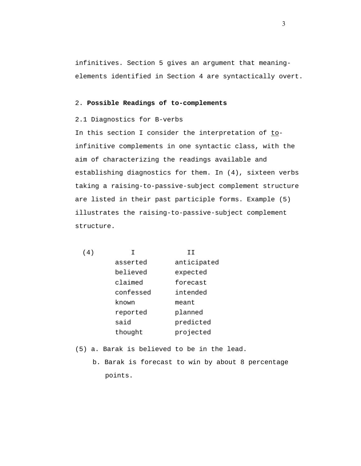infinitives. Section 5 gives an argument that meaningelements identified in Section 4 are syntactically overt.

#### 2. **Possible Readings of to-complements**

# 2.1 Diagnostics for B-verbs

In this section I consider the interpretation of toinfinitive complements in one syntactic class, with the aim of characterizing the readings available and establishing diagnostics for them. In (4), sixteen verbs taking a raising-to-passive-subject complement structure are listed in their past participle forms. Example (5) illustrates the raising-to-passive-subject complement structure.

| 4 |           | тт          |
|---|-----------|-------------|
|   | asserted  | anticipated |
|   | believed  | expected    |
|   | claimed   | forecast    |
|   | confessed | intended    |
|   | known     | meant       |
|   | reported  | planned     |
|   | said      | predicted   |
|   | thought   | projected   |

- (5) a. Barak is believed to be in the lead.
	- b. Barak is forecast to win by about 8 percentage points.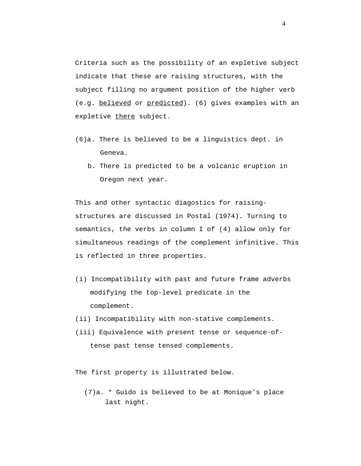Criteria such as the possibility of an expletive subject indicate that these are raising structures, with the subject filling no argument position of the higher verb (e.g. believed or predicted). (6) gives examples with an expletive there subject.

- (6)a. There is believed to be a linguistics dept. in Geneva.
	- b. There is predicted to be a volcanic eruption in Oregon next year.

This and other syntactic diagostics for raisingstructures are discussed in Postal (1974). Turning to semantics, the verbs in column I of (4) allow only for simultaneous readings of the complement infinitive. This is reflected in three properties.

- (i) Incompatibility with past and future frame adverbs modifying the top-level predicate in the complement.
- (ii) Incompatibility with non-stative complements.
- (iii) Equivalence with present tense or sequence-oftense past tense tensed complements.

The first property is illustrated below.

 (7)a. \* Guido is believed to be at Monique's place last night.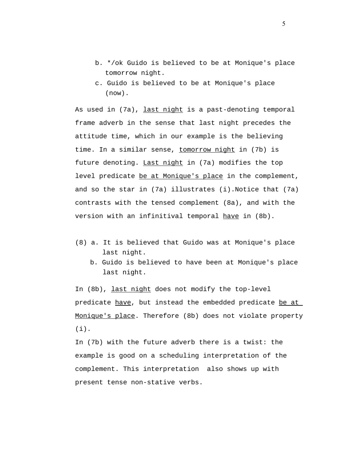- b. \*/ok Guido is believed to be at Monique's place tomorrow night.
- c. Guido is believed to be at Monique's place (now).

As used in (7a), last night is a past-denoting temporal frame adverb in the sense that last night precedes the attitude time, which in our example is the believing time. In a similar sense, tomorrow night in (7b) is future denoting. Last night in (7a) modifies the top level predicate be at Monique's place in the complement, and so the star in (7a) illustrates (i).Notice that (7a) contrasts with the tensed complement (8a), and with the version with an infinitival temporal have in (8b).

- (8) a. It is believed that Guido was at Monique's place last night.
	- b. Guido is believed to have been at Monique's place last night.

In (8b), last night does not modify the top-level predicate have, but instead the embedded predicate be at Monique's place. Therefore (8b) does not violate property  $(i)$ .

In (7b) with the future adverb there is a twist: the example is good on a scheduling interpretation of the complement. This interpretation also shows up with present tense non-stative verbs.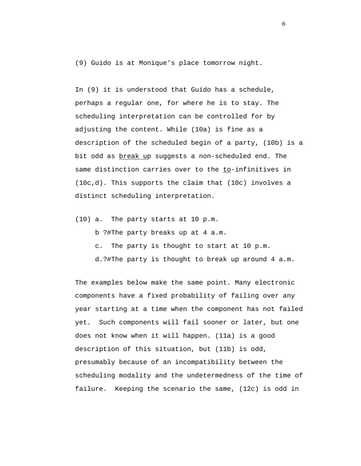(9) Guido is at Monique's place tomorrow night.

In (9) it is understood that Guido has a schedule, perhaps a regular one, for where he is to stay. The scheduling interpretation can be controlled for by adjusting the content. While (10a) is fine as a description of the scheduled begin of a party, (10b) is a bit odd as break up suggests a non-scheduled end. The same distinction carries over to the to-infinitives in (10c,d). This supports the claim that (10c) involves a distinct scheduling interpretation.

(10) a. The party starts at 10 p.m.

b ?#The party breaks up at 4 a.m.

c. The party is thought to start at 10 p.m.

d.?#The party is thought to break up around 4 a.m.

The examples below make the same point. Many electronic components have a fixed probability of failing over any year starting at a time when the component has not failed yet. Such components will fail sooner or later, but one does not know when it will happen. (11a) is a good description of this situation, but (11b) is odd, presumably because of an incompatibility between the scheduling modality and the undetermedness of the time of failure. Keeping the scenario the same, (12c) is odd in

 $\sim$  6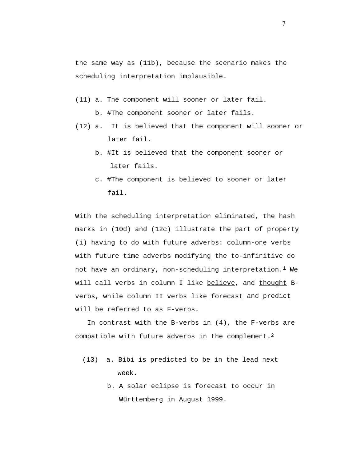the same way as (11b), because the scenario makes the scheduling interpretation implausible.

(11) a. The component will sooner or later fail.

b. #The component sooner or later fails.

- (12) a. It is believed that the component will sooner or later fail.
	- b. #It is believed that the component sooner or later fails.
	- c. #The component is believed to sooner or later fail.

With the scheduling interpretation eliminated, the hash marks in (10d) and (12c) illustrate the part of property (i) having to do with future adverbs: column-one verbs with future time adverbs modifying the to-infinitive do not have an ordinary, non-scheduling interpretation.1 We will call verbs in column I like believe, and thought Bverbs, while column II verbs like forecast and predict will be referred to as F-verbs.

 In contrast with the B-verbs in (4), the F-verbs are compatible with future adverbs in the complement.<sup>2</sup>

- (13) a. Bibi is predicted to be in the lead next week.
	- b. A solar eclipse is forecast to occur in Württemberg in August 1999.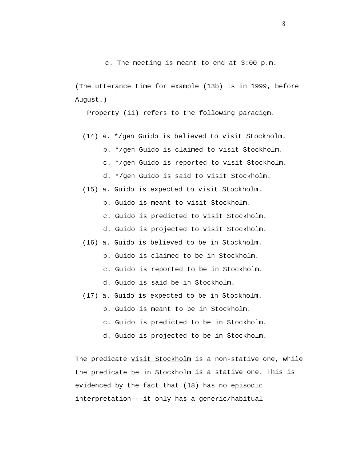(The utterance time for example (13b) is in 1999, before August.)

Property (ii) refers to the following paradigm.

- (14) a. \*/gen Guido is believed to visit Stockholm. b. \*/gen Guido is claimed to visit Stockholm. c. \*/gen Guido is reported to visit Stockholm. d. \*/gen Guido is said to visit Stockholm.
- (15) a. Guido is expected to visit Stockholm.
	- b. Guido is meant to visit Stockholm.
	- c. Guido is predicted to visit Stockholm.
	- d. Guido is projected to visit Stockholm.
- (16) a. Guido is believed to be in Stockholm.
	- b. Guido is claimed to be in Stockholm.
	- c. Guido is reported to be in Stockholm.
	- d. Guido is said be in Stockholm.
- (17) a. Guido is expected to be in Stockholm.
	- b. Guido is meant to be in Stockholm.
	- c. Guido is predicted to be in Stockholm.
	- d. Guido is projected to be in Stockholm.

The predicate visit Stockholm is a non-stative one, while the predicate be in Stockholm is a stative one. This is evidenced by the fact that (18) has no episodic interpretation---it only has a generic/habitual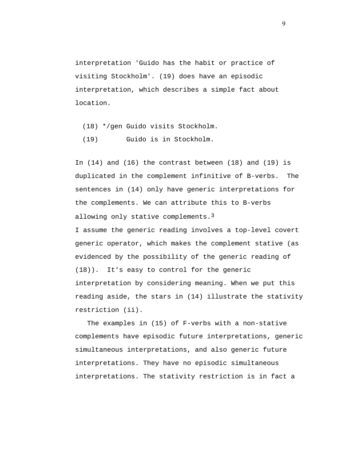interpretation 'Guido has the habit or practice of visiting Stockholm'. (19) does have an episodic interpretation, which describes a simple fact about location.

- (18) \*/gen Guido visits Stockholm.
- (19) Guido is in Stockholm.

In (14) and (16) the contrast between (18) and (19) is duplicated in the complement infinitive of B-verbs. The sentences in (14) only have generic interpretations for the complements. We can attribute this to B-verbs allowing only stative complements.3 I assume the generic reading involves a top-level covert generic operator, which makes the complement stative (as evidenced by the possibility of the generic reading of (18)). It's easy to control for the generic interpretation by considering meaning. When we put this reading aside, the stars in (14) illustrate the stativity restriction (ii).

 The examples in (15) of F-verbs with a non-stative complements have episodic future interpretations, generic simultaneous interpretations, and also generic future interpretations. They have no episodic simultaneous interpretations. The stativity restriction is in fact a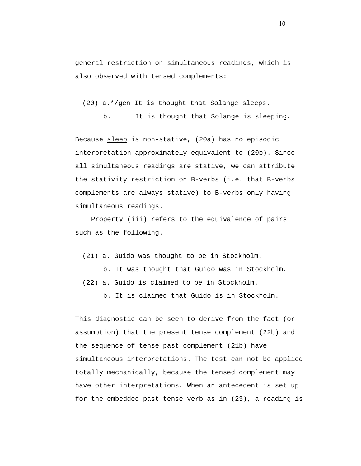general restriction on simultaneous readings, which is also observed with tensed complements:

(20) a.\*/gen It is thought that Solange sleeps.

b. It is thought that Solange is sleeping.

Because sleep is non-stative, (20a) has no episodic interpretation approximately equivalent to (20b). Since all simultaneous readings are stative, we can attribute the stativity restriction on B-verbs (i.e. that B-verbs complements are always stative) to B-verbs only having simultaneous readings.

 Property (iii) refers to the equivalence of pairs such as the following.

(21) a. Guido was thought to be in Stockholm.

b. It was thought that Guido was in Stockholm.

(22) a. Guido is claimed to be in Stockholm.

b. It is claimed that Guido is in Stockholm.

This diagnostic can be seen to derive from the fact (or assumption) that the present tense complement (22b) and the sequence of tense past complement (21b) have simultaneous interpretations. The test can not be applied totally mechanically, because the tensed complement may have other interpretations. When an antecedent is set up for the embedded past tense verb as in (23), a reading is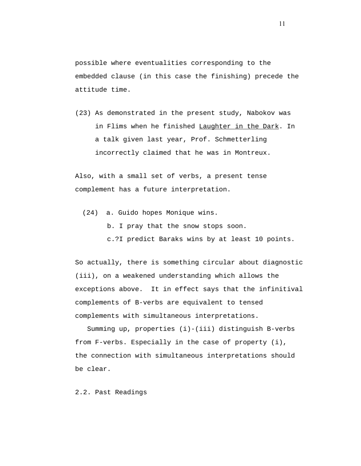possible where eventualities corresponding to the embedded clause (in this case the finishing) precede the attitude time.

(23) As demonstrated in the present study, Nabokov was in Flims when he finished Laughter in the Dark. In a talk given last year, Prof. Schmetterling incorrectly claimed that he was in Montreux.

Also, with a small set of verbs, a present tense complement has a future interpretation.

(24) a. Guido hopes Monique wins.

b. I pray that the snow stops soon.

c.?I predict Baraks wins by at least 10 points.

So actually, there is something circular about diagnostic (iii), on a weakened understanding which allows the exceptions above. It in effect says that the infinitival complements of B-verbs are equivalent to tensed complements with simultaneous interpretations.

 Summing up, properties (i)-(iii) distinguish B-verbs from F-verbs. Especially in the case of property (i), the connection with simultaneous interpretations should be clear.

2.2. Past Readings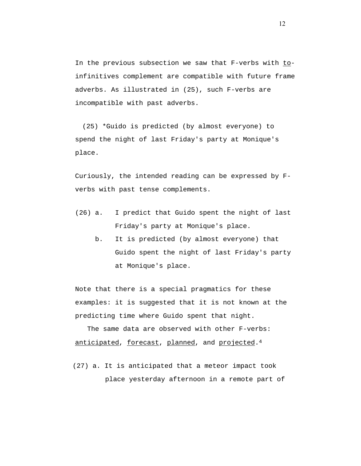In the previous subsection we saw that F-verbs with toinfinitives complement are compatible with future frame adverbs. As illustrated in (25), such F-verbs are incompatible with past adverbs.

(25) \*Guido is predicted (by almost everyone) to spend the night of last Friday's party at Monique's place.

Curiously, the intended reading can be expressed by Fverbs with past tense complements.

- (26) a. I predict that Guido spent the night of last Friday's party at Monique's place.
	- b. It is predicted (by almost everyone) that Guido spent the night of last Friday's party at Monique's place.

Note that there is a special pragmatics for these examples: it is suggested that it is not known at the predicting time where Guido spent that night.

 The same data are observed with other F-verbs: anticipated, forecast, planned, and projected.4

(27) a. It is anticipated that a meteor impact took place yesterday afternoon in a remote part of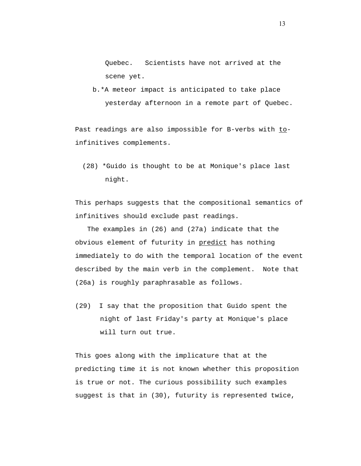Quebec. Scientists have not arrived at the scene yet.

b.\*A meteor impact is anticipated to take place yesterday afternoon in a remote part of Quebec.

Past readings are also impossible for B-verbs with toinfinitives complements.

(28) \*Guido is thought to be at Monique's place last night.

This perhaps suggests that the compositional semantics of infinitives should exclude past readings.

 The examples in (26) and (27a) indicate that the obvious element of futurity in predict has nothing immediately to do with the temporal location of the event described by the main verb in the complement. Note that (26a) is roughly paraphrasable as follows.

(29) I say that the proposition that Guido spent the night of last Friday's party at Monique's place will turn out true.

This goes along with the implicature that at the predicting time it is not known whether this proposition is true or not. The curious possibility such examples suggest is that in (30), futurity is represented twice,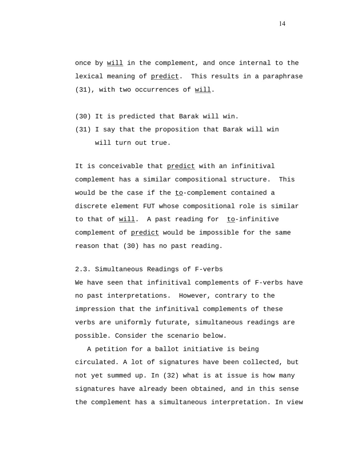once by will in the complement, and once internal to the lexical meaning of predict. This results in a paraphrase (31), with two occurrences of will.

- (30) It is predicted that Barak will win.
- (31) I say that the proposition that Barak will win will turn out true.

It is conceivable that predict with an infinitival complement has a similar compositional structure. This would be the case if the to-complement contained a discrete element FUT whose compositional role is similar to that of  $will$ . A past reading for  $to-infinitive$ </u></u> complement of predict would be impossible for the same reason that (30) has no past reading.

2.3. Simultaneous Readings of F-verbs

We have seen that infinitival complements of F-verbs have no past interpretations. However, contrary to the impression that the infinitival complements of these verbs are uniformly futurate, simultaneous readings are possible. Consider the scenario below.

 A petition for a ballot initiative is being circulated. A lot of signatures have been collected, but not yet summed up. In (32) what is at issue is how many signatures have already been obtained, and in this sense the complement has a simultaneous interpretation. In view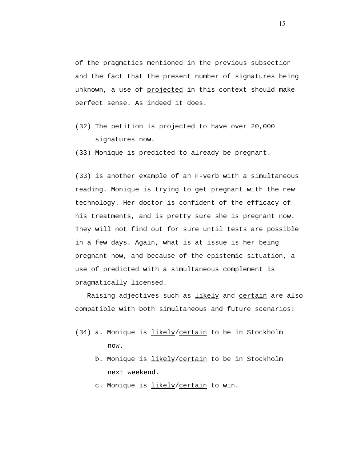of the pragmatics mentioned in the previous subsection and the fact that the present number of signatures being unknown, a use of projected in this context should make perfect sense. As indeed it does.

- (32) The petition is projected to have over 20,000 signatures now.
- (33) Monique is predicted to already be pregnant.

(33) is another example of an F-verb with a simultaneous reading. Monique is trying to get pregnant with the new technology. Her doctor is confident of the efficacy of his treatments, and is pretty sure she is pregnant now. They will not find out for sure until tests are possible in a few days. Again, what is at issue is her being pregnant now, and because of the epistemic situation, a use of predicted with a simultaneous complement is pragmatically licensed.

Raising adjectives such as likely and certain are also compatible with both simultaneous and future scenarios:

- (34) a. Monique is likely/certain to be in Stockholm now.
	- b. Monique is *likely/certain* to be in Stockholm next weekend.
	- c. Monique is likely/certain to win.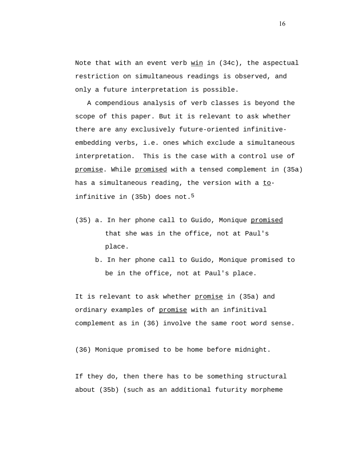Note that with an event verb win in (34c), the aspectual restriction on simultaneous readings is observed, and only a future interpretation is possible.

 A compendious analysis of verb classes is beyond the scope of this paper. But it is relevant to ask whether there are any exclusively future-oriented infinitiveembedding verbs, i.e. ones which exclude a simultaneous interpretation. This is the case with a control use of promise. While promised with a tensed complement in (35a) has a simultaneous reading, the version with a toinfinitive in (35b) does not.<sup>5</sup>

- (35) a. In her phone call to Guido, Monique promised that she was in the office, not at Paul's place.
	- b. In her phone call to Guido, Monique promised to be in the office, not at Paul's place.

It is relevant to ask whether promise in (35a) and ordinary examples of promise with an infinitival complement as in (36) involve the same root word sense.

(36) Monique promised to be home before midnight.

If they do, then there has to be something structural about (35b) (such as an additional futurity morpheme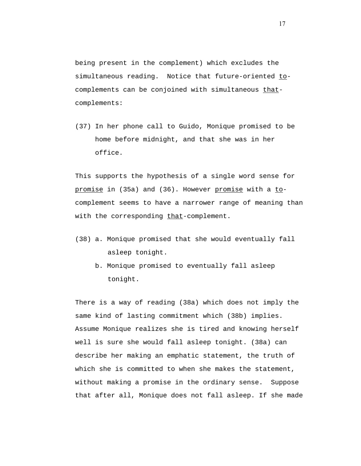being present in the complement) which excludes the simultaneous reading. Notice that future-oriented tocomplements can be conjoined with simultaneous thatcomplements:

(37) In her phone call to Guido, Monique promised to be home before midnight, and that she was in her office.

This supports the hypothesis of a single word sense for promise in (35a) and (36). However promise with a tocomplement seems to have a narrower range of meaning than with the corresponding that-complement.

- (38) a. Monique promised that she would eventually fall asleep tonight.
	- b. Monique promised to eventually fall asleep tonight.

There is a way of reading (38a) which does not imply the same kind of lasting commitment which (38b) implies. Assume Monique realizes she is tired and knowing herself well is sure she would fall asleep tonight. (38a) can describe her making an emphatic statement, the truth of which she is committed to when she makes the statement, without making a promise in the ordinary sense. Suppose that after all, Monique does not fall asleep. If she made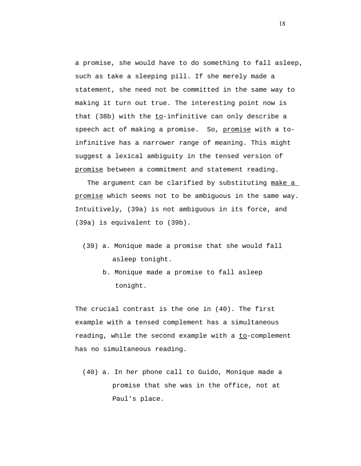a promise, she would have to do something to fall asleep, such as take a sleeping pill. If she merely made a statement, she need not be committed in the same way to making it turn out true. The interesting point now is that (38b) with the  $to-infinitive can only describe a$ </u> speech act of making a promise. So, promise with a toinfinitive has a narrower range of meaning. This might suggest a lexical ambiguity in the tensed version of promise between a commitment and statement reading.

 The argument can be clarified by substituting make a promise which seems not to be ambiguous in the same way. Intuitively, (39a) is not ambiguous in its force, and (39a) is equivalent to (39b).

- (39) a. Monique made a promise that she would fall asleep tonight.
	- b. Monique made a promise to fall asleep tonight.

The crucial contrast is the one in (40). The first example with a tensed complement has a simultaneous reading, while the second example with a to-complement has no simultaneous reading.

 (40) a. In her phone call to Guido, Monique made a promise that she was in the office, not at Paul's place.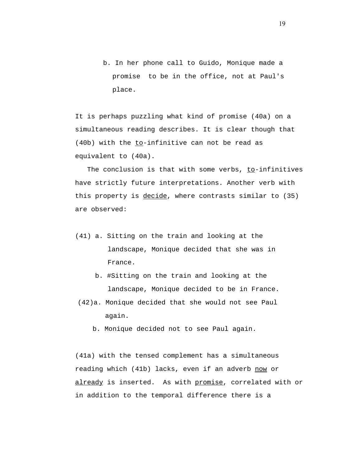b. In her phone call to Guido, Monique made a promise to be in the office, not at Paul's place.

It is perhaps puzzling what kind of promise (40a) on a simultaneous reading describes. It is clear though that (40b) with the to-infinitive can not be read as equivalent to (40a).

 The conclusion is that with some verbs, to-infinitives have strictly future interpretations. Another verb with this property is decide, where contrasts similar to (35) are observed:

- (41) a. Sitting on the train and looking at the landscape, Monique decided that she was in France.
	- b. #Sitting on the train and looking at the landscape, Monique decided to be in France.
- (42)a. Monique decided that she would not see Paul again.
	- b. Monique decided not to see Paul again.

(41a) with the tensed complement has a simultaneous reading which (41b) lacks, even if an adverb now or already is inserted. As with promise, correlated with or in addition to the temporal difference there is a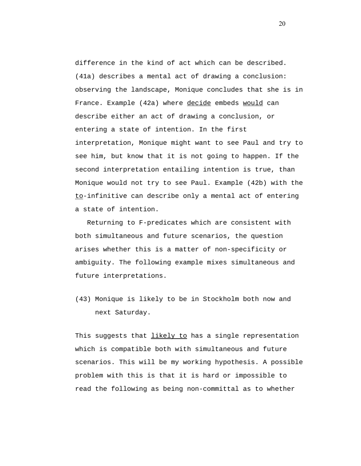difference in the kind of act which can be described. (41a) describes a mental act of drawing a conclusion: observing the landscape, Monique concludes that she is in France. Example (42a) where decide embeds would can describe either an act of drawing a conclusion, or entering a state of intention. In the first interpretation, Monique might want to see Paul and try to see him, but know that it is not going to happen. If the second interpretation entailing intention is true, than Monique would not try to see Paul. Example (42b) with the to-infinitive can describe only a mental act of entering a state of intention.

 Returning to F-predicates which are consistent with both simultaneous and future scenarios, the question arises whether this is a matter of non-specificity or ambiguity. The following example mixes simultaneous and future interpretations.

(43) Monique is likely to be in Stockholm both now and next Saturday.

This suggests that likely to has a single representation which is compatible both with simultaneous and future scenarios. This will be my working hypothesis. A possible problem with this is that it is hard or impossible to read the following as being non-committal as to whether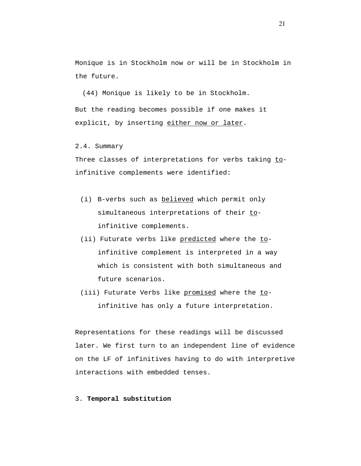Monique is in Stockholm now or will be in Stockholm in the future.

(44) Monique is likely to be in Stockholm. But the reading becomes possible if one makes it explicit, by inserting either now or later.

2.4. Summary

Three classes of interpretations for verbs taking toinfinitive complements were identified:

- (i) B-verbs such as believed which permit only simultaneous interpretations of their toinfinitive complements.
- (ii) Futurate verbs like predicted where the toinfinitive complement is interpreted in a way which is consistent with both simultaneous and future scenarios.
- (iii) Futurate Verbs like promised where the toinfinitive has only a future interpretation.

Representations for these readings will be discussed later. We first turn to an independent line of evidence on the LF of infinitives having to do with interpretive interactions with embedded tenses.

3. **Temporal substitution**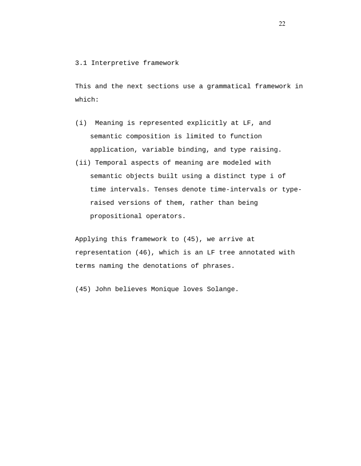#### 3.1 Interpretive framework

This and the next sections use a grammatical framework in which:

- (i) Meaning is represented explicitly at LF, and semantic composition is limited to function application, variable binding, and type raising.
- (ii) Temporal aspects of meaning are modeled with semantic objects built using a distinct type i of time intervals. Tenses denote time-intervals or typeraised versions of them, rather than being propositional operators.

Applying this framework to (45), we arrive at representation (46), which is an LF tree annotated with terms naming the denotations of phrases.

(45) John believes Monique loves Solange.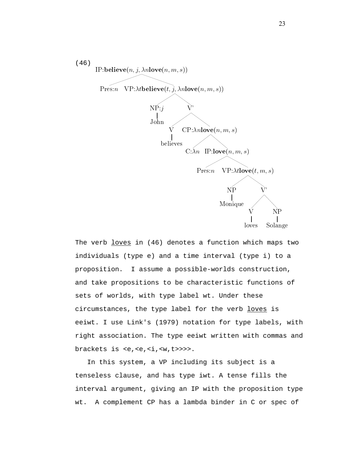

The verb loves in (46) denotes a function which maps two individuals (type e) and a time interval (type i) to a proposition. I assume a possible-worlds construction, and take propositions to be characteristic functions of sets of worlds, with type label wt. Under these circumstances, the type label for the verb loves is eeiwt. I use Link's (1979) notation for type labels, with right association. The type eeiwt written with commas and brackets is <e,<e,<i,<w,t>>>>.

 In this system, a VP including its subject is a tenseless clause, and has type iwt. A tense fills the interval argument, giving an IP with the proposition type wt. A complement CP has a lambda binder in C or spec of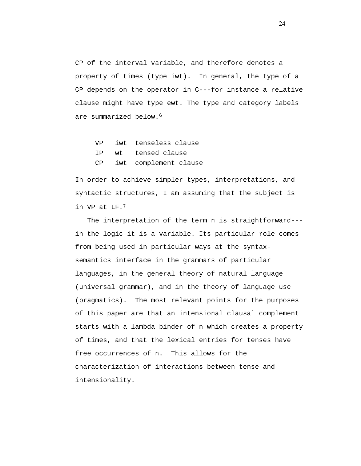CP of the interval variable, and therefore denotes a property of times (type iwt). In general, the type of a CP depends on the operator in C---for instance a relative clause might have type ewt. The type and category labels are summarized below.6

|  | VP iwt tenseless clause  |
|--|--------------------------|
|  | IP wt tensed clause      |
|  | CP iwt complement clause |

In order to achieve simpler types, interpretations, and syntactic structures, I am assuming that the subject is in VP at LF.<sup>7</sup>

 The interpretation of the term n is straightforward-- in the logic it is a variable. Its particular role comes from being used in particular ways at the syntaxsemantics interface in the grammars of particular languages, in the general theory of natural language (universal grammar), and in the theory of language use (pragmatics). The most relevant points for the purposes of this paper are that an intensional clausal complement starts with a lambda binder of n which creates a property of times, and that the lexical entries for tenses have free occurrences of n. This allows for the characterization of interactions between tense and intensionality.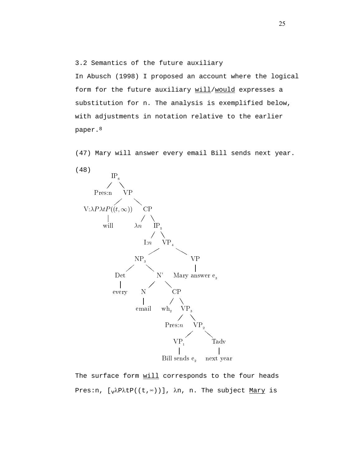3.2 Semantics of the future auxiliary

In Abusch (1998) I proposed an account where the logical form for the future auxiliary will/would expresses a substitution for n. The analysis is exemplified below, with adjustments in notation relative to the earlier paper.8

(47) Mary will answer every email Bill sends next year.



The surface form will corresponds to the four heads Pres:n,  $[\sqrt{x}P(\tau,\infty))]$ ,  $\lambda$ n, n. The subject Mary is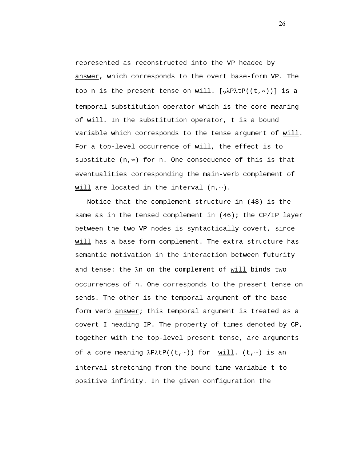represented as reconstructed into the VP headed by answer, which corresponds to the overt base-form VP. The top n is the present tense on will.  $[\sqrt{x}A P(t, x)]$  is a temporal substitution operator which is the core meaning of will. In the substitution operator, t is a bound variable which corresponds to the tense argument of will. For a top-level occurrence of will, the effect is to substitute (n,∞) for n. One consequence of this is that eventualities corresponding the main-verb complement of will are located in the interval (n,∞).

 Notice that the complement structure in (48) is the same as in the tensed complement in  $(46)$ ; the CP/IP layer between the two VP nodes is syntactically covert, since will has a base form complement. The extra structure has semantic motivation in the interaction between futurity and tense: the λn on the complement of will binds two occurrences of n. One corresponds to the present tense on sends. The other is the temporal argument of the base form verb answer; this temporal argument is treated as a covert I heading IP. The property of times denoted by CP, together with the top-level present tense, are arguments of a core meaning  $\lambda P \lambda t P((t, \infty))$  for will. (t, $\infty$ ) is an interval stretching from the bound time variable t to positive infinity. In the given configuration the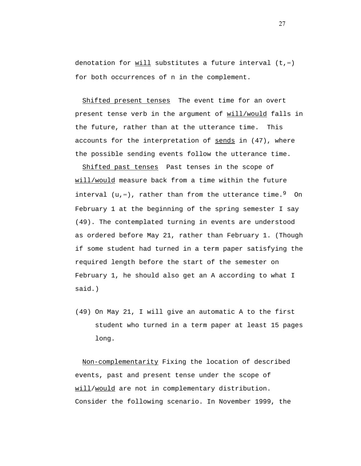denotation for  $will$  substitutes a future interval (t, $\infty$ )</u> for both occurrences of n in the complement.

Shifted present tenses The event time for an overt present tense verb in the argument of will/would falls in the future, rather than at the utterance time. This accounts for the interpretation of sends in (47), where the possible sending events follow the utterance time.

Shifted past tenses Past tenses in the scope of will/would measure back from a time within the future interval  $(u, ∞)$ , rather than from the utterance time.<sup>9</sup> On February 1 at the beginning of the spring semester I say (49). The contemplated turning in events are understood as ordered before May 21, rather than February 1. (Though if some student had turned in a term paper satisfying the required length before the start of the semester on February 1, he should also get an A according to what I said.)

(49) On May 21, I will give an automatic A to the first student who turned in a term paper at least 15 pages long.

 Non-complementarity Fixing the location of described events, past and present tense under the scope of will/would are not in complementary distribution. Consider the following scenario. In November 1999, the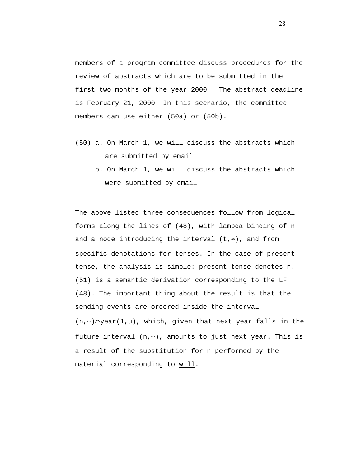members of a program committee discuss procedures for the review of abstracts which are to be submitted in the first two months of the year 2000. The abstract deadline is February 21, 2000. In this scenario, the committee members can use either (50a) or (50b).

- (50) a. On March 1, we will discuss the abstracts which are submitted by email.
	- b. On March 1, we will discuss the abstracts which were submitted by email.

The above listed three consequences follow from logical forms along the lines of (48), with lambda binding of n and a node introducing the interval (t,∞), and from specific denotations for tenses. In the case of present tense, the analysis is simple: present tense denotes n. (51) is a semantic derivation corresponding to the LF (48). The important thing about the result is that the sending events are ordered inside the interval (n,∞)∩year(1,u), which, given that next year falls in the future interval  $(n, \infty)$ , amounts to just next year. This is a result of the substitution for n performed by the material corresponding to will.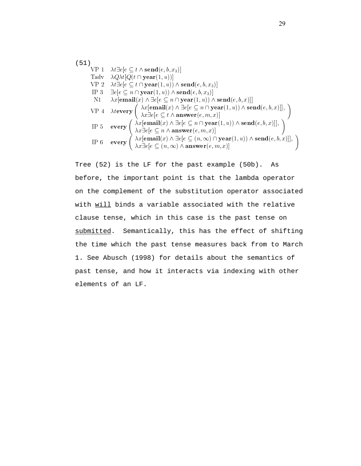(51)  
\nVP 1 
$$
\lambda t \exists e[e \subseteq t \land \text{send}(e, b, x_3)]
$$
  
\nTadv  $\lambda Q \lambda t [Q(t \cap \text{year}(1, u))]$   
\nVP 2  $\lambda t \exists e[e \subseteq t \cap \text{year}(1, u)) \land \text{send}(e, b, x_3)]$   
\nIP 3  $\exists e[e \subseteq n \cap \text{year}(1, u)) \land \text{send}(e, b, x_3)]$   
\nNI  $\lambda x[\text{email}(x) \land \exists e[e \subseteq n \cap \text{year}(1, u)) \land \text{send}(e, b, x)]]$   
\nVP 4  $\lambda t \text{every} \left( \lambda x[\text{email}(x) \land \exists e[e \subseteq n \cap \text{year}(1, u)) \land \text{send}(e, b, x)]], \lambda x \exists e[e \subseteq t \land \text{answer}(e, m, x)]$   
\nIP 5  $\text{every} \left( \lambda x[\text{email}(x) \land \exists e[e \subseteq n \cap \text{year}(1, u)) \land \text{send}(e, b, x)]], \lambda x \exists e[e \subseteq n \land \text{answer}(e, m, x)]$   
\nIP 6  $\text{every} \left( \lambda x[\text{email}(x) \land \exists e[e \subseteq (n, \infty) \cap \text{year}(1, u)) \land \text{send}(e, b, x)]], \lambda x \exists e[e \subseteq (n, \infty) \land \text{answer}(e, m, x)]$ 

Tree (52) is the LF for the past example (50b). As before, the important point is that the lambda operator on the complement of the substitution operator associated with will binds a variable associated with the relative clause tense, which in this case is the past tense on submitted. Semantically, this has the effect of shifting the time which the past tense measures back from to March 1. See Abusch (1998) for details about the semantics of past tense, and how it interacts via indexing with other elements of an LF.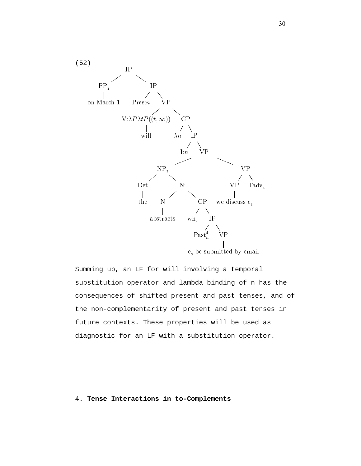

Summing up, an LF for will involving a temporal substitution operator and lambda binding of n has the consequences of shifted present and past tenses, and of the non-complementarity of present and past tenses in future contexts. These properties will be used as diagnostic for an LF with a substitution operator.

4. **Tense Interactions in to-Complements**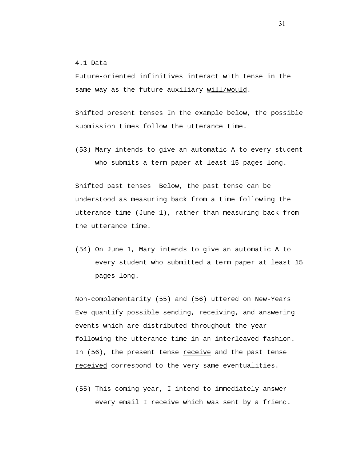4.1 Data

Future-oriented infinitives interact with tense in the same way as the future auxiliary will/would.

Shifted present tenses In the example below, the possible submission times follow the utterance time.

(53) Mary intends to give an automatic A to every student who submits a term paper at least 15 pages long.

Shifted past tenses Below, the past tense can be understood as measuring back from a time following the utterance time (June 1), rather than measuring back from the utterance time.

(54) On June 1, Mary intends to give an automatic A to every student who submitted a term paper at least 15 pages long.

Non-complementarity (55) and (56) uttered on New-Years Eve quantify possible sending, receiving, and answering events which are distributed throughout the year following the utterance time in an interleaved fashion. In (56), the present tense receive and the past tense received correspond to the very same eventualities.

(55) This coming year, I intend to immediately answer every email I receive which was sent by a friend.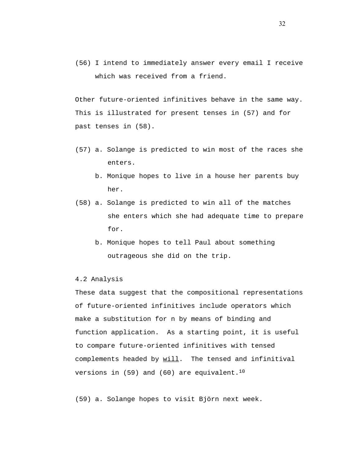(56) I intend to immediately answer every email I receive which was received from a friend.

Other future-oriented infinitives behave in the same way. This is illustrated for present tenses in (57) and for past tenses in (58).

- (57) a. Solange is predicted to win most of the races she enters.
	- b. Monique hopes to live in a house her parents buy her.
- (58) a. Solange is predicted to win all of the matches she enters which she had adequate time to prepare for.
	- b. Monique hopes to tell Paul about something outrageous she did on the trip.

### 4.2 Analysis

These data suggest that the compositional representations of future-oriented infinitives include operators which make a substitution for n by means of binding and function application. As a starting point, it is useful to compare future-oriented infinitives with tensed complements headed by will. The tensed and infinitival versions in  $(59)$  and  $(60)$  are equivalent.<sup>10</sup>

(59) a. Solange hopes to visit Björn next week.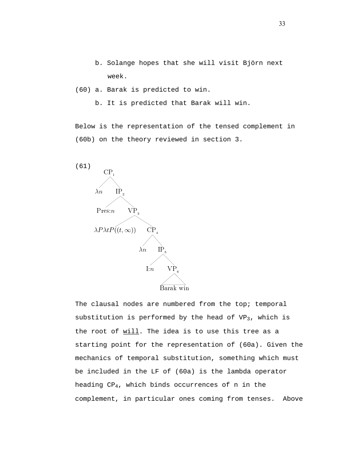b. Solange hopes that she will visit Björn next week.

(60) a. Barak is predicted to win.

b. It is predicted that Barak will win.

Below is the representation of the tensed complement in (60b) on the theory reviewed in section 3.



The clausal nodes are numbered from the top; temporal substitution is performed by the head of  $VP_3$ , which is the root of will. The idea is to use this tree as a starting point for the representation of (60a). Given the mechanics of temporal substitution, something which must be included in the LF of (60a) is the lambda operator heading CP4, which binds occurrences of n in the complement, in particular ones coming from tenses. Above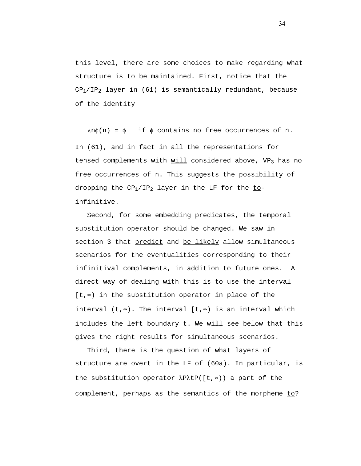this level, there are some choices to make regarding what structure is to be maintained. First, notice that the  $CP_1/IP_2$  layer in (61) is semantically redundant, because of the identity

 $\lambda$ n $\phi$ (n) =  $\phi$  if  $\phi$  contains no free occurrences of n. In (61), and in fact in all the representations for tensed complements with  $will$  considered above, VP<sub>3</sub> has no</u> free occurrences of n. This suggests the possibility of dropping the  $CP_1/IP_2$  layer in the LF for the toinfinitive.

 Second, for some embedding predicates, the temporal substitution operator should be changed. We saw in section 3 that predict and be likely allow simultaneous scenarios for the eventualities corresponding to their infinitival complements, in addition to future ones. A direct way of dealing with this is to use the interval [t,∞) in the substitution operator in place of the interval (t,∞). The interval [t,∞) is an interval which includes the left boundary t. We will see below that this gives the right results for simultaneous scenarios.

 Third, there is the question of what layers of structure are overt in the LF of (60a). In particular, is the substitution operator λPλtP([t,∞)) a part of the complement, perhaps as the semantics of the morpheme to?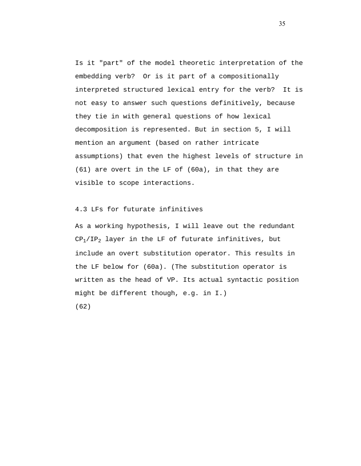Is it "part" of the model theoretic interpretation of the embedding verb? Or is it part of a compositionally interpreted structured lexical entry for the verb? It is not easy to answer such questions definitively, because they tie in with general questions of how lexical decomposition is represented. But in section 5, I will mention an argument (based on rather intricate assumptions) that even the highest levels of structure in (61) are overt in the LF of (60a), in that they are visible to scope interactions.

#### 4.3 LFs for futurate infinitives

As a working hypothesis, I will leave out the redundant  $CP<sub>1</sub>/IP<sub>2</sub>$  layer in the LF of futurate infinitives, but include an overt substitution operator. This results in the LF below for (60a). (The substitution operator is written as the head of VP. Its actual syntactic position might be different though, e.g. in I.) (62)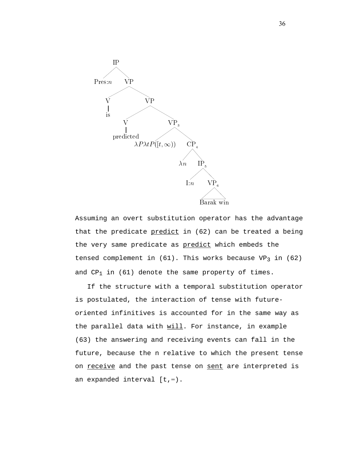

Assuming an overt substitution operator has the advantage that the predicate predict in (62) can be treated a being the very same predicate as predict which embeds the tensed complement in  $(61)$ . This works because VP<sub>3</sub> in  $(62)$ and  $CP_1$  in (61) denote the same property of times.

 If the structure with a temporal substitution operator is postulated, the interaction of tense with futureoriented infinitives is accounted for in the same way as the parallel data with will. For instance, in example (63) the answering and receiving events can fall in the future, because the n relative to which the present tense on receive and the past tense on sent are interpreted is an expanded interval [t,∞).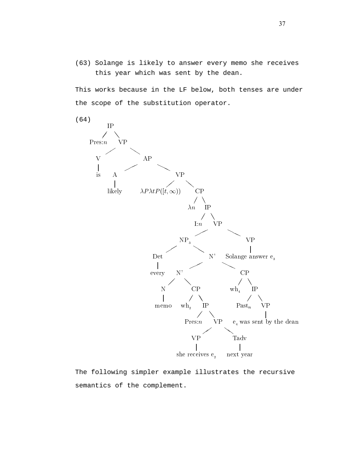(63) Solange is likely to answer every memo she receives this year which was sent by the dean.

This works because in the LF below, both tenses are under the scope of the substitution operator.



The following simpler example illustrates the recursive semantics of the complement.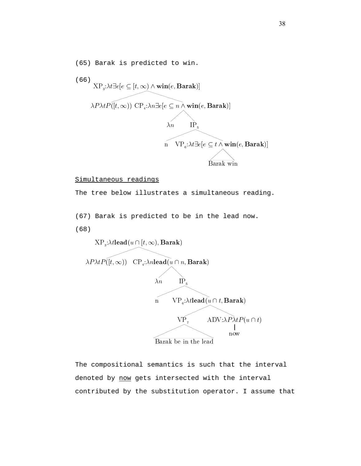(65) Barak is predicted to win. (66) XP te-<sup>e</sup> - -t- wine-Barak  $\sum_{i=1}^{\infty}$   $\sum_{i=1}^{\infty}$   $\sum_{i=1}^{\infty}$   $\sum_{i=1}^{\infty}$   $\sum_{i=1}^{\infty}$   $\sum_{i=1}^{\infty}$   $\sum_{i=1}^{\infty}$   $\sum_{i=1}^{\infty}$  $\chi'_n$  IP<sub>5</sub> <sup>n</sup> VP te-<sup>e</sup> - <sup>t</sup> wine-Barak Barak win

#### Simultaneous readings

The tree below illustrates a simultaneous reading.

(67) Barak is predicted to be in the lead now.

(68)



The compositional semantics is such that the interval denoted by now gets intersected with the interval contributed by the substitution operator. I assume that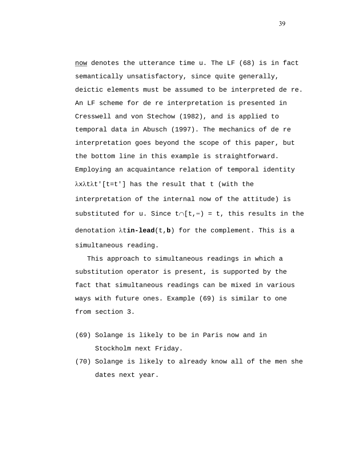now denotes the utterance time u. The LF (68) is in fact semantically unsatisfactory, since quite generally, deictic elements must be assumed to be interpreted de re. An LF scheme for de re interpretation is presented in Cresswell and von Stechow (1982), and is applied to temporal data in Abusch (1997). The mechanics of de re interpretation goes beyond the scope of this paper, but the bottom line in this example is straightforward. Employing an acquaintance relation of temporal identity λxλtλt'[t=t'] has the result that t (with the interpretation of the internal now of the attitude) is substituted for u. Since t∩[t,∞) = t, this results in the denotation λt**in-lead**(t,**b**) for the complement. This is a simultaneous reading.

 This approach to simultaneous readings in which a substitution operator is present, is supported by the fact that simultaneous readings can be mixed in various ways with future ones. Example (69) is similar to one from section 3.

- (69) Solange is likely to be in Paris now and in Stockholm next Friday.
- (70) Solange is likely to already know all of the men she dates next year.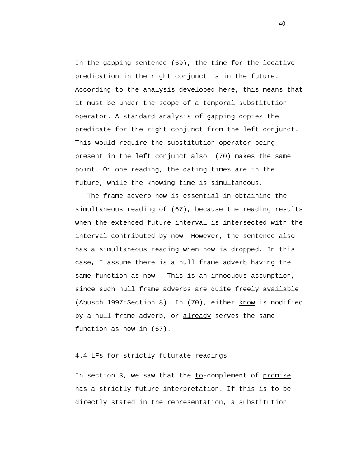In the gapping sentence (69), the time for the locative predication in the right conjunct is in the future. According to the analysis developed here, this means that it must be under the scope of a temporal substitution operator. A standard analysis of gapping copies the predicate for the right conjunct from the left conjunct. This would require the substitution operator being present in the left conjunct also. (70) makes the same point. On one reading, the dating times are in the future, while the knowing time is simultaneous.

The frame adverb now is essential in obtaining the simultaneous reading of (67), because the reading results when the extended future interval is intersected with the interval contributed by now. However, the sentence also has a simultaneous reading when now is dropped. In this case, I assume there is a null frame adverb having the same function as now. This is an innocuous assumption, since such null frame adverbs are quite freely available (Abusch 1997: Section 8). In (70), either know is modified by a null frame adverb, or already serves the same function as now in (67).

## 4.4 LFs for strictly futurate readings

In section 3, we saw that the to-complement of promise has a strictly future interpretation. If this is to be directly stated in the representation, a substitution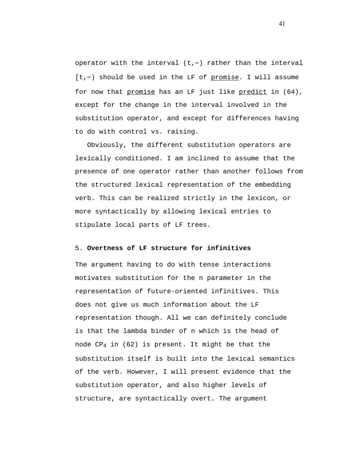operator with the interval (t,∞) rather than the interval [t,∞) should be used in the LF of promise. I will assume for now that promise has an LF just like predict in (64), except for the change in the interval involved in the substitution operator, and except for differences having to do with control vs. raising.

 Obviously, the different substitution operators are lexically conditioned. I am inclined to assume that the presence of one operator rather than another follows from the structured lexical representation of the embedding verb. This can be realized strictly in the lexicon, or more syntactically by allowing lexical entries to stipulate local parts of LF trees.

### 5. **Overtness of LF structure for infinitives**

The argument having to do with tense interactions motivates substitution for the n parameter in the representation of future-oriented infinitives. This does not give us much information about the LF representation though. All we can definitely conclude is that the lambda binder of n which is the head of node CP4 in (62) is present. It might be that the substitution itself is built into the lexical semantics of the verb. However, I will present evidence that the substitution operator, and also higher levels of structure, are syntactically overt. The argument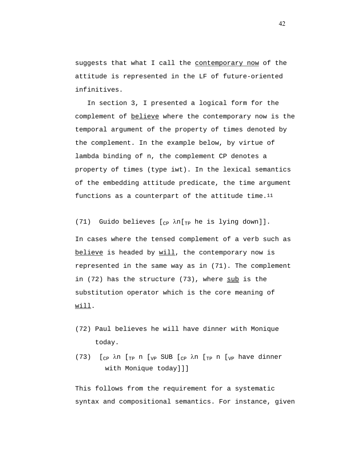suggests that what I call the contemporary now of the attitude is represented in the LF of future-oriented infinitives.

 In section 3, I presented a logical form for the complement of believe where the contemporary now is the temporal argument of the property of times denoted by the complement. In the example below, by virtue of lambda binding of n, the complement CP denotes a property of times (type iwt). In the lexical semantics of the embedding attitude predicate, the time argument functions as a counterpart of the attitude time.<sup>11</sup>

In cases where the tensed complement of a verb such as believe is headed by will, the contemporary now is represented in the same way as in (71). The complement in (72) has the structure (73), where sub is the substitution operator which is the core meaning of will.

(71) Guido believes  $[_{CP}$   $\lambda$ n $[_{TP}$  he is lying down]].

- (72) Paul believes he will have dinner with Monique today.
- (73)  $[_{CP}$   $\lambda$ n  $[_{TP}$  n  $[_{VP}$  SUB  $[_{CP}$   $\lambda$ n  $[_{TP}$  n  $[_{VP}$  have dinner with Monique today]]]

This follows from the requirement for a systematic syntax and compositional semantics. For instance, given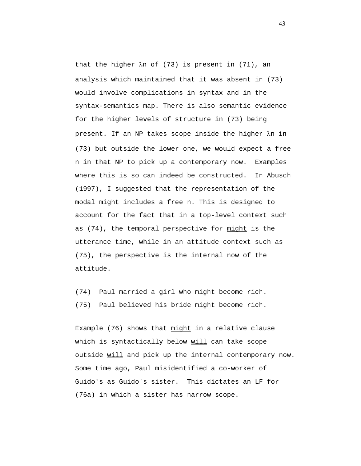that the higher λn of (73) is present in (71), an analysis which maintained that it was absent in (73) would involve complications in syntax and in the syntax-semantics map. There is also semantic evidence for the higher levels of structure in (73) being present. If an NP takes scope inside the higher λn in (73) but outside the lower one, we would expect a free n in that NP to pick up a contemporary now. Examples where this is so can indeed be constructed. In Abusch (1997), I suggested that the representation of the modal might includes a free n. This is designed to account for the fact that in a top-level context such as (74), the temporal perspective for might is the utterance time, while in an attitude context such as (75), the perspective is the internal now of the attitude.

(74) Paul married a girl who might become rich. (75) Paul believed his bride might become rich.

Example (76) shows that might in a relative clause which is syntactically below will can take scope outside will and pick up the internal contemporary now. Some time ago, Paul misidentified a co-worker of Guido's as Guido's sister. This dictates an LF for (76a) in which a sister has narrow scope.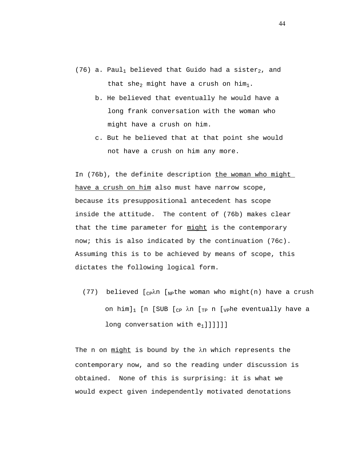- (76) a. Paul<sub>1</sub> believed that Guido had a sister<sub>2</sub>, and that she<sub>2</sub> might have a crush on him<sub>1</sub>.
	- b. He believed that eventually he would have a long frank conversation with the woman who might have a crush on him.
	- c. But he believed that at that point she would not have a crush on him any more.

In (76b), the definite description the woman who might have a crush on him also must have narrow scope, because its presuppositional antecedent has scope inside the attitude. The content of (76b) makes clear that the time parameter for might is the contemporary now; this is also indicated by the continuation (76c). Assuming this is to be achieved by means of scope, this dictates the following logical form.

(77) believed  $[_{CP}\lambda n$  [Npthe woman who might(n) have a crush on him]<sub>1</sub> [n [SUB [<sub>CP</sub>  $\lambda$ n [<sub>TP</sub> n [<sub>VP</sub>he eventually have a long conversation with  $e_1$ ]]]]]]

The n on might is bound by the λn which represents the contemporary now, and so the reading under discussion is obtained. None of this is surprising: it is what we would expect given independently motivated denotations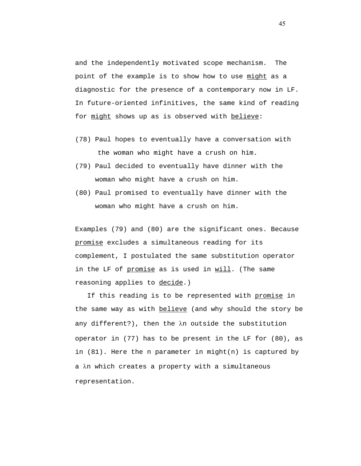and the independently motivated scope mechanism. The point of the example is to show how to use might as a diagnostic for the presence of a contemporary now in LF. In future-oriented infinitives, the same kind of reading for might shows up as is observed with believe:

- (78) Paul hopes to eventually have a conversation with the woman who might have a crush on him.
- (79) Paul decided to eventually have dinner with the woman who might have a crush on him.
- (80) Paul promised to eventually have dinner with the woman who might have a crush on him.

Examples (79) and (80) are the significant ones. Because promise excludes a simultaneous reading for its complement, I postulated the same substitution operator in the LF of promise as is used in will. (The same reasoning applies to decide.)

If this reading is to be represented with promise in the same way as with **believe** (and why should the story be any different?), then the λn outside the substitution operator in (77) has to be present in the LF for (80), as in (81). Here the n parameter in might(n) is captured by a λn which creates a property with a simultaneous representation.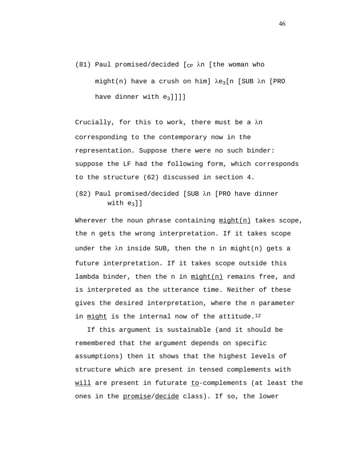(81) Paul promised/decided  $[_{CP}$   $\lambda$ n [the woman who might(n) have a crush on him]  $\lambda e_3$ [n [SUB  $\lambda$ n [PRO have dinner with  $e_3$ ]]]]

Crucially, for this to work, there must be a λn corresponding to the contemporary now in the representation. Suppose there were no such binder: suppose the LF had the following form, which corresponds to the structure (62) discussed in section 4.

(82) Paul promised/decided [SUB λn [PRO have dinner with  $e_3$ ]]

Wherever the noun phrase containing might(n) takes scope, the n gets the wrong interpretation. If it takes scope under the λn inside SUB, then the n in might(n) gets a future interpretation. If it takes scope outside this lambda binder, then the n in  $min{m}$  remains free, and is interpreted as the utterance time. Neither of these gives the desired interpretation, where the n parameter in might is the internal now of the attitude.<sup>12</sup>

 If this argument is sustainable (and it should be remembered that the argument depends on specific assumptions) then it shows that the highest levels of structure which are present in tensed complements with will are present in futurate to-complements (at least the ones in the promise/decide class). If so, the lower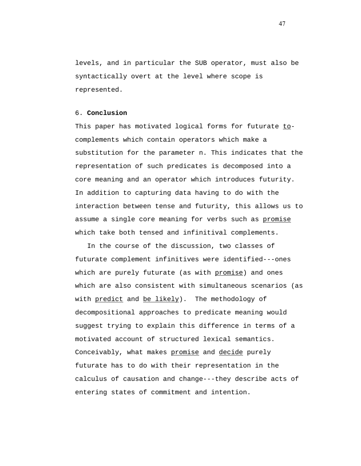levels, and in particular the SUB operator, must also be syntactically overt at the level where scope is represented.

### 6. **Conclusion**

This paper has motivated logical forms for futurate tocomplements which contain operators which make a substitution for the parameter n. This indicates that the representation of such predicates is decomposed into a core meaning and an operator which introduces futurity. In addition to capturing data having to do with the interaction between tense and futurity, this allows us to assume a single core meaning for verbs such as promise which take both tensed and infinitival complements.

 In the course of the discussion, two classes of futurate complement infinitives were identified---ones which are purely futurate (as with promise) and ones which are also consistent with simultaneous scenarios (as with predict and be likely). The methodology of decompositional approaches to predicate meaning would suggest trying to explain this difference in terms of a motivated account of structured lexical semantics. Conceivably, what makes promise and decide purely futurate has to do with their representation in the calculus of causation and change---they describe acts of entering states of commitment and intention.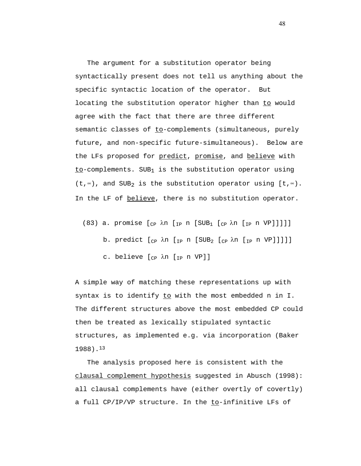The argument for a substitution operator being syntactically present does not tell us anything about the specific syntactic location of the operator. But locating the substitution operator higher than to would agree with the fact that there are three different semantic classes of to-complements (simultaneous, purely future, and non-specific future-simultaneous). Below are the LFs proposed for predict, promise, and believe with  $to$ -complements. SUB<sub>1</sub> is the substitution operator using (t,∞), and SUB2 is the substitution operator using [t,∞). In the LF of believe, there is no substitution operator.

- (83) a. promise  $[_{CP}$   $\lambda$ n  $[_{IP}$  n  $[SUB_1$   $[_{CP}$   $\lambda$ n  $[_{IP}$  n VP]]]]]
	- b. predict  $[\begin{array}{ccc} C_{\text{CP}} & \lambda n & \text{[IP n} & \text{[SUB}_2 & \text{[CP n} & \text{[IP n} & \text{[VP] }] \text{]}] \end{array}]$
	- c. believe [<sub>CP</sub> λn [<sub>IP</sub> n VP]]

A simple way of matching these representations up with syntax is to identify to with the most embedded n in I. The different structures above the most embedded CP could then be treated as lexically stipulated syntactic structures, as implemented e.g. via incorporation (Baker 1988).13

 The analysis proposed here is consistent with the clausal complement hypothesis suggested in Abusch (1998): all clausal complements have (either overtly of covertly) a full CP/IP/VP structure. In the to-infinitive LFs of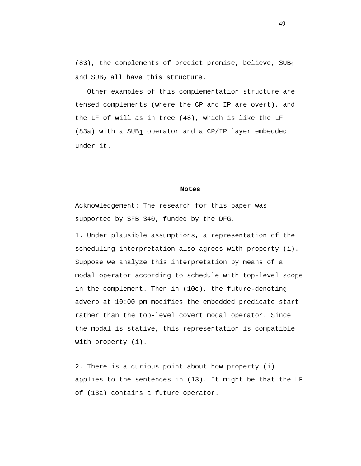(83), the complements of predict promise, believe, SUB1 and SUB<sub>2</sub> all have this structure.

 Other examples of this complementation structure are tensed complements (where the CP and IP are overt), and the LF of will as in tree (48), which is like the LF (83a) with a SUB1 operator and a CP/IP layer embedded under it.

#### **Notes**

Acknowledgement: The research for this paper was supported by SFB 340, funded by the DFG.

1. Under plausible assumptions, a representation of the scheduling interpretation also agrees with property (i). Suppose we analyze this interpretation by means of a modal operator according to schedule with top-level scope in the complement. Then in (10c), the future-denoting adverb at 10:00 pm modifies the embedded predicate start rather than the top-level covert modal operator. Since the modal is stative, this representation is compatible with property (i).

2. There is a curious point about how property (i) applies to the sentences in (13). It might be that the LF of (13a) contains a future operator.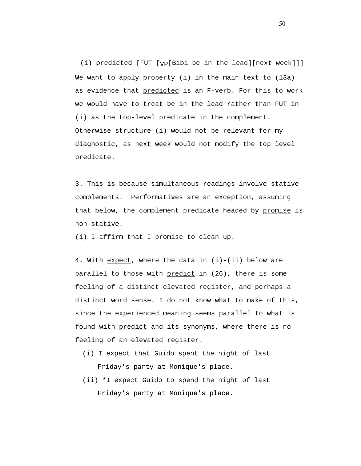(i) predicted [FUT [VP[Bibi be in the lead][next week]]] We want to apply property (i) in the main text to (13a) as evidence that predicted is an F-verb. For this to work we would have to treat be in the lead rather than FUT in (i) as the top-level predicate in the complement. Otherwise structure (i) would not be relevant for my diagnostic, as next week would not modify the top level predicate.

3. This is because simultaneous readings involve stative complements. Performatives are an exception, assuming that below, the complement predicate headed by promise is non-stative.

(i) I affirm that I promise to clean up.

4. With expect, where the data in  $(i)-(ii)$  below are parallel to those with predict in (26), there is some feeling of a distinct elevated register, and perhaps a distinct word sense. I do not know what to make of this, since the experienced meaning seems parallel to what is found with predict and its synonyms, where there is no feeling of an elevated register.

- (i) I expect that Guido spent the night of last Friday's party at Monique's place.
- (ii) \*I expect Guido to spend the night of last Friday's party at Monique's place.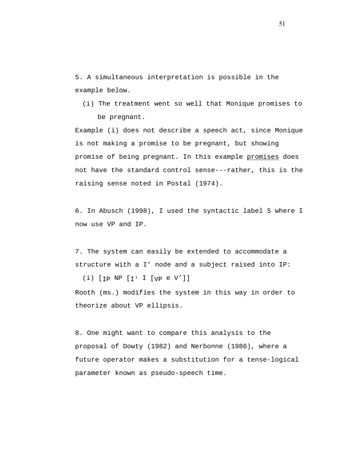5. A simultaneous interpretation is possible in the example below.

(i) The treatment went so well that Monique promises to be pregnant.

Example (i) does not describe a speech act, since Monique is not making a promise to be pregnant, but showing promise of being pregnant. In this example promises does not have the standard control sense---rather, this is the raising sense noted in Postal (1974).

6. In Abusch (1998), I used the syntactic label S where I now use VP and IP.

7. The system can easily be extended to accommodate a structure with a I' node and a subject raised into IP:

(i)  $[p \nvert p] \cdot [p \cdot 1] \cdot [p \cdot 0 \cdot 1]$ Rooth (ms.) modifies the system in this way in order to theorize about VP ellipsis.

8. One might want to compare this analysis to the proposal of Dowty (1982) and Nerbonne (1986), where a future operator makes a substitution for a tense-logical parameter known as pseudo-speech time.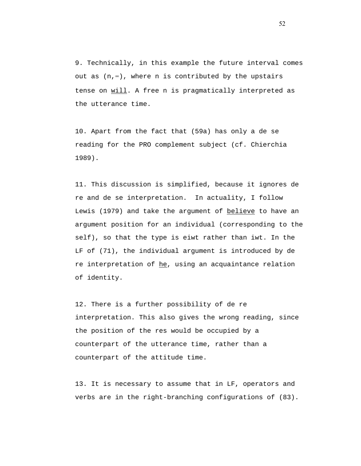9. Technically, in this example the future interval comes out as (n,∞), where n is contributed by the upstairs tense on will. A free n is pragmatically interpreted as the utterance time.

10. Apart from the fact that (59a) has only a de se reading for the PRO complement subject (cf. Chierchia 1989).

11. This discussion is simplified, because it ignores de re and de se interpretation. In actuality, I follow Lewis (1979) and take the argument of believe to have an argument position for an individual (corresponding to the self), so that the type is eiwt rather than iwt. In the LF of (71), the individual argument is introduced by de re interpretation of  $he$ , using an acquaintance relation of identity.

12. There is a further possibility of de re interpretation. This also gives the wrong reading, since the position of the res would be occupied by a counterpart of the utterance time, rather than a counterpart of the attitude time.

13. It is necessary to assume that in LF, operators and verbs are in the right-branching configurations of (83).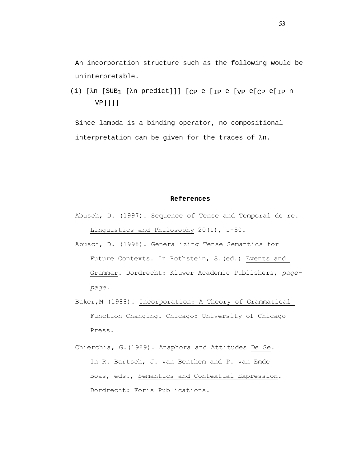An incorporation structure such as the following would be uninterpretable.

(i) [λn [SUB1 [λn predict]]] [CP e [IP e [VP e[CP e[IP n VP]]]]

Since lambda is a binding operator, no compositional interpretation can be given for the traces of λn.

#### **References**

- Abusch, D. (1997). Sequence of Tense and Temporal de re. Linguistics and Philosophy 20(1), 1-50.
- Abusch, D. (1998). Generalizing Tense Semantics for Future Contexts. In Rothstein, S. (ed.) Events and Grammar. Dordrecht: Kluwer Academic Publishers, *pagepage*.
- Baker,M (1988). Incorporation: A Theory of Grammatical Function Changing. Chicago: University of Chicago Press.
- Chierchia, G.(1989). Anaphora and Attitudes De Se. In R. Bartsch, J. van Benthem and P. van Emde Boas, eds., Semantics and Contextual Expression. Dordrecht: Foris Publications.